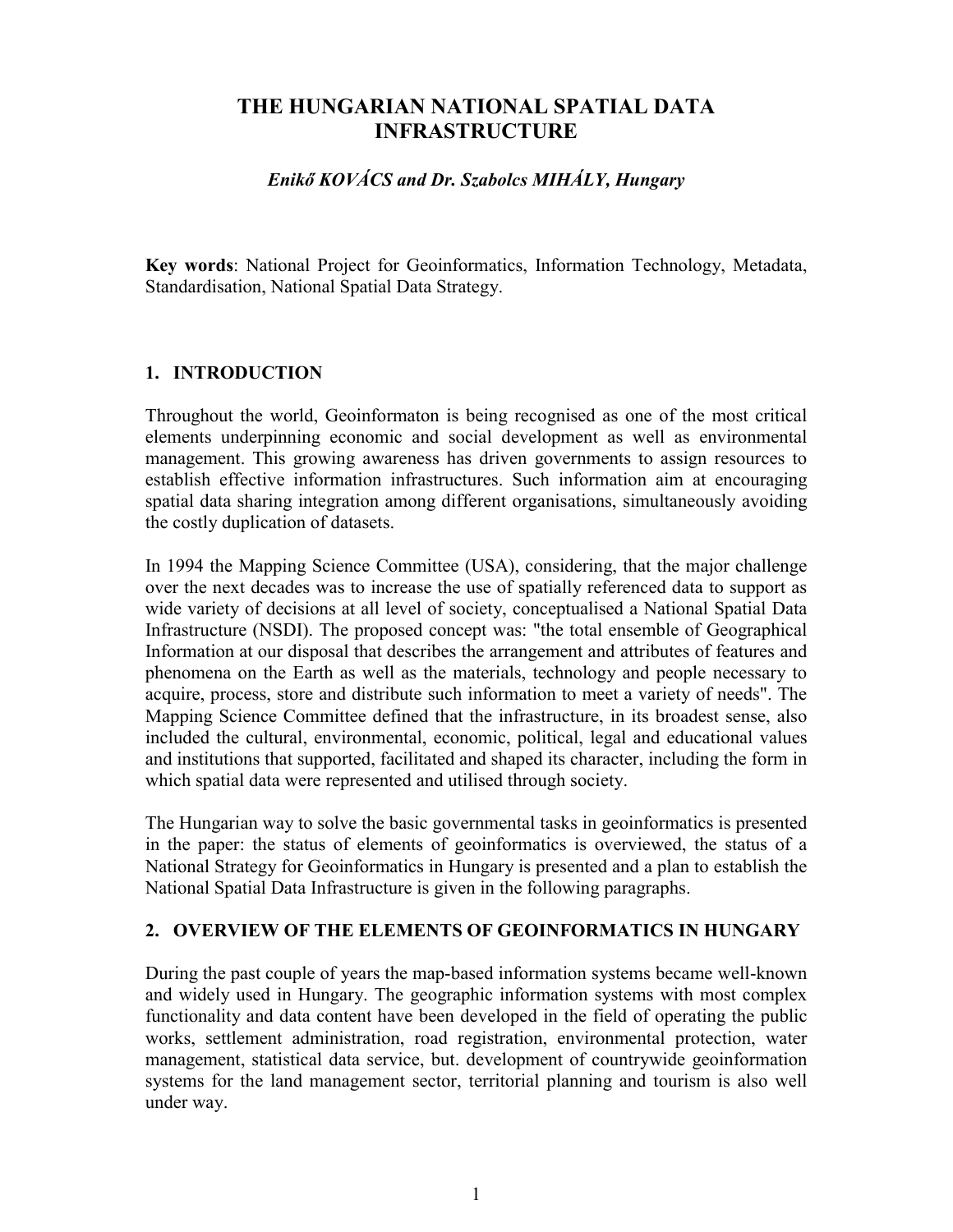# **THE HUNGARIAN NATIONAL SPATIAL DATA INFRASTRUCTURE**

# *Enikő KOVÁCS and Dr. Szabolcs MIHÁLY, Hungary*

**Key words**: National Project for Geoinformatics, Information Technology, Metadata, Standardisation, National Spatial Data Strategy.

# **1. INTRODUCTION**

Throughout the world, Geoinformaton is being recognised as one of the most critical elements underpinning economic and social development as well as environmental management. This growing awareness has driven governments to assign resources to establish effective information infrastructures. Such information aim at encouraging spatial data sharing integration among different organisations, simultaneously avoiding the costly duplication of datasets.

In 1994 the Mapping Science Committee (USA), considering, that the major challenge over the next decades was to increase the use of spatially referenced data to support as wide variety of decisions at all level of society, conceptualised a National Spatial Data Infrastructure (NSDI). The proposed concept was: "the total ensemble of Geographical Information at our disposal that describes the arrangement and attributes of features and phenomena on the Earth as well as the materials, technology and people necessary to acquire, process, store and distribute such information to meet a variety of needs". The Mapping Science Committee defined that the infrastructure, in its broadest sense, also included the cultural, environmental, economic, political, legal and educational values and institutions that supported, facilitated and shaped its character, including the form in which spatial data were represented and utilised through society.

The Hungarian way to solve the basic governmental tasks in geoinformatics is presented in the paper: the status of elements of geoinformatics is overviewed, the status of a National Strategy for Geoinformatics in Hungary is presented and a plan to establish the National Spatial Data Infrastructure is given in the following paragraphs.

#### **2. OVERVIEW OF THE ELEMENTS OF GEOINFORMATICS IN HUNGARY**

During the past couple of years the map-based information systems became well-known and widely used in Hungary. The geographic information systems with most complex functionality and data content have been developed in the field of operating the public works, settlement administration, road registration, environmental protection, water management, statistical data service, but. development of countrywide geoinformation systems for the land management sector, territorial planning and tourism is also well under way.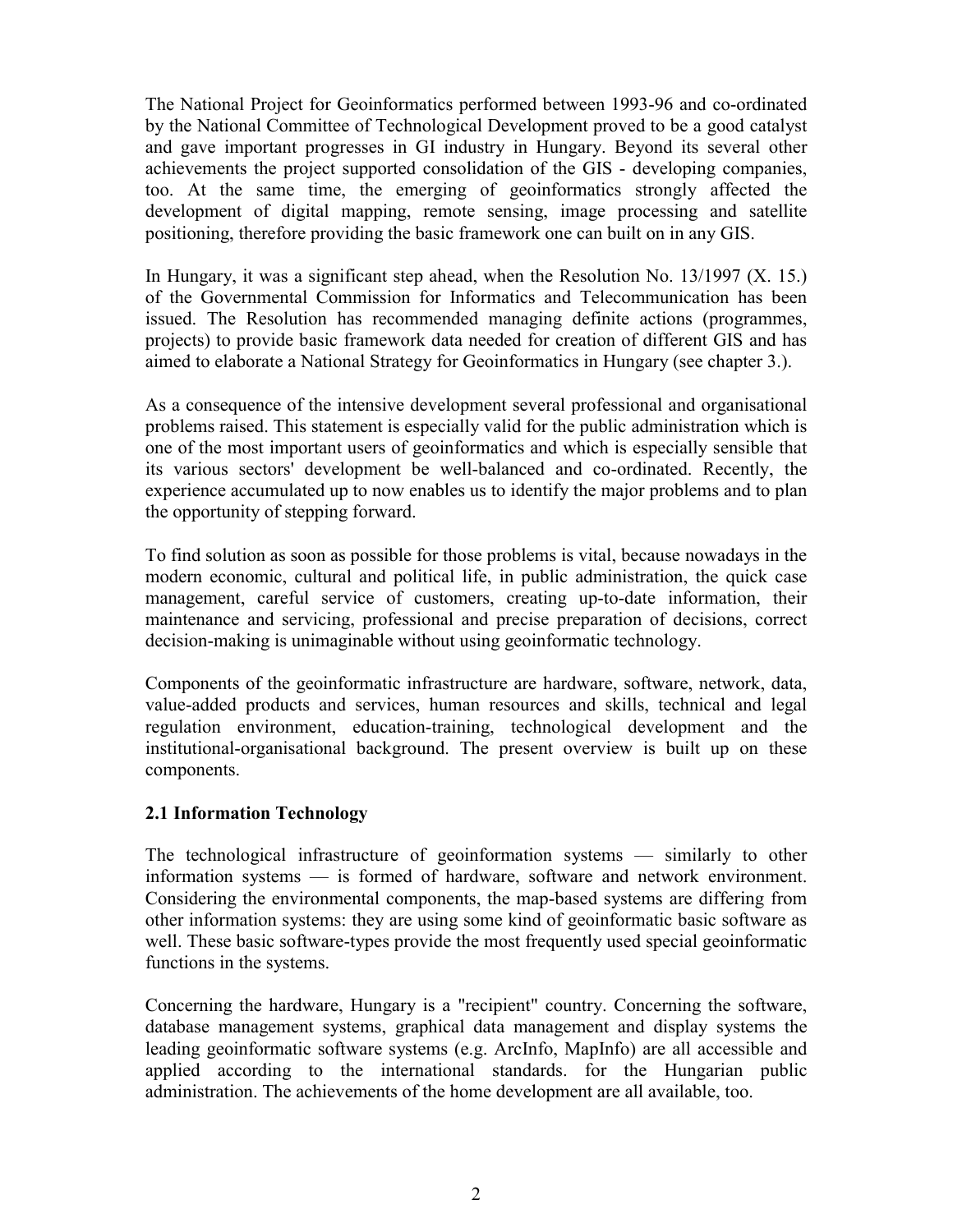The National Project for Geoinformatics performed between 1993-96 and co-ordinated by the National Committee of Technological Development proved to be a good catalyst and gave important progresses in GI industry in Hungary. Beyond its several other achievements the project supported consolidation of the GIS - developing companies, too. At the same time, the emerging of geoinformatics strongly affected the development of digital mapping, remote sensing, image processing and satellite positioning, therefore providing the basic framework one can built on in any GIS.

In Hungary, it was a significant step ahead, when the Resolution No. 13/1997 (X. 15.) of the Governmental Commission for Informatics and Telecommunication has been issued. The Resolution has recommended managing definite actions (programmes, projects) to provide basic framework data needed for creation of different GIS and has aimed to elaborate a National Strategy for Geoinformatics in Hungary (see chapter 3.).

As a consequence of the intensive development several professional and organisational problems raised. This statement is especially valid for the public administration which is one of the most important users of geoinformatics and which is especially sensible that its various sectors' development be well-balanced and co-ordinated. Recently, the experience accumulated up to now enables us to identify the major problems and to plan the opportunity of stepping forward.

To find solution as soon as possible for those problems is vital, because nowadays in the modern economic, cultural and political life, in public administration, the quick case management, careful service of customers, creating up-to-date information, their maintenance and servicing, professional and precise preparation of decisions, correct decision-making is unimaginable without using geoinformatic technology.

Components of the geoinformatic infrastructure are hardware, software, network, data, value-added products and services, human resources and skills, technical and legal regulation environment, education-training, technological development and the institutional-organisational background. The present overview is built up on these components.

# **2.1 Information Technology**

The technological infrastructure of geoinformation systems — similarly to other information systems — is formed of hardware, software and network environment. Considering the environmental components, the map-based systems are differing from other information systems: they are using some kind of geoinformatic basic software as well. These basic software-types provide the most frequently used special geoinformatic functions in the systems.

Concerning the hardware, Hungary is a "recipient" country. Concerning the software, database management systems, graphical data management and display systems the leading geoinformatic software systems (e.g. ArcInfo, MapInfo) are all accessible and applied according to the international standards. for the Hungarian public administration. The achievements of the home development are all available, too.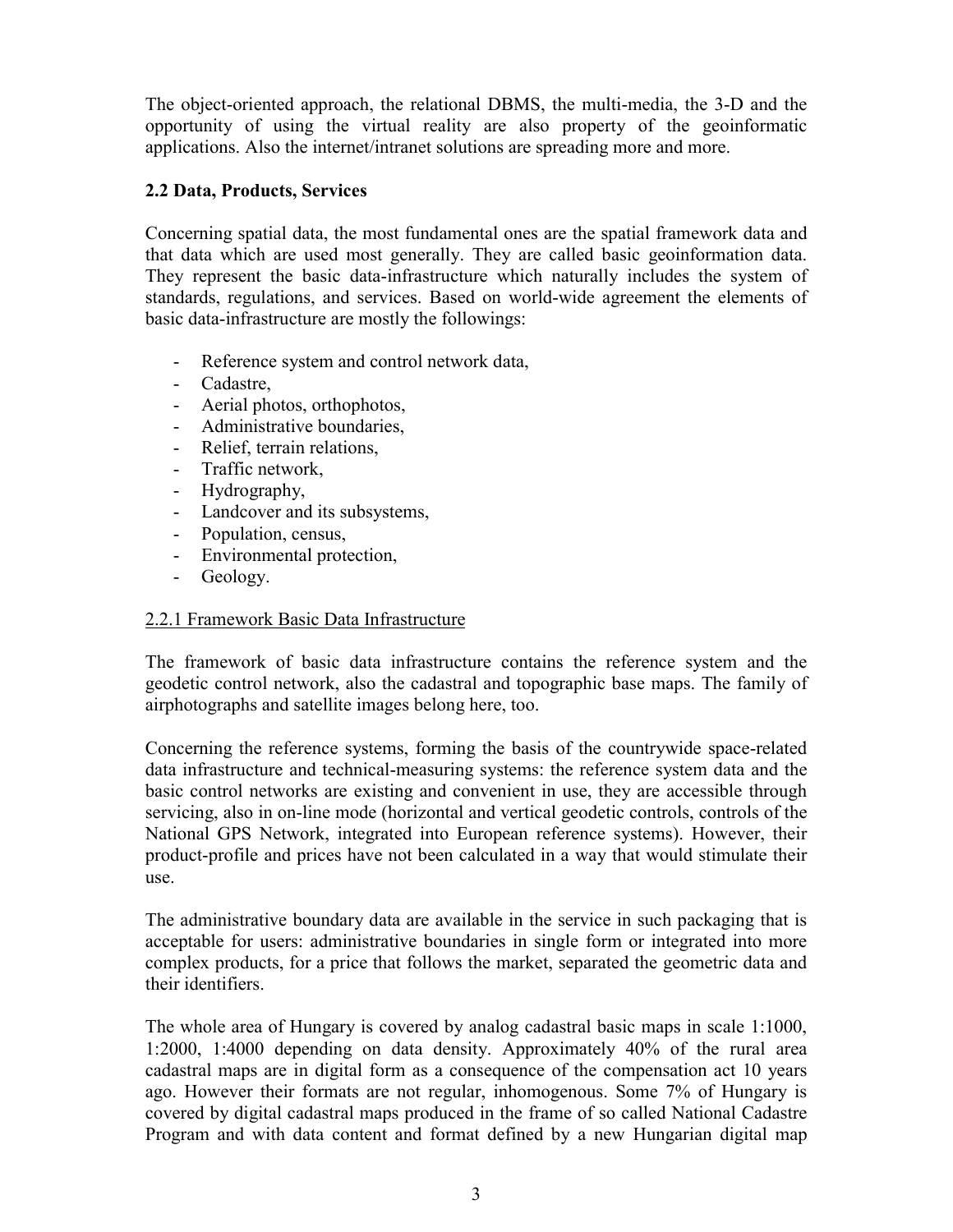The object-oriented approach, the relational DBMS, the multi-media, the 3-D and the opportunity of using the virtual reality are also property of the geoinformatic applications. Also the internet/intranet solutions are spreading more and more.

## **2.2 Data, Products, Services**

Concerning spatial data, the most fundamental ones are the spatial framework data and that data which are used most generally. They are called basic geoinformation data. They represent the basic data-infrastructure which naturally includes the system of standards, regulations, and services. Based on world-wide agreement the elements of basic data-infrastructure are mostly the followings:

- Reference system and control network data,
- Cadastre,
- Aerial photos, orthophotos,
- Administrative boundaries,
- Relief, terrain relations,<br>- Traffic network
- Traffic network,
- Hydrography,
- Landcover and its subsystems,
- Population, census,
- Environmental protection,
- Geology.

#### 2.2.1 Framework Basic Data Infrastructure

The framework of basic data infrastructure contains the reference system and the geodetic control network, also the cadastral and topographic base maps. The family of airphotographs and satellite images belong here, too.

Concerning the reference systems, forming the basis of the countrywide space-related data infrastructure and technical-measuring systems: the reference system data and the basic control networks are existing and convenient in use, they are accessible through servicing, also in on-line mode (horizontal and vertical geodetic controls, controls of the National GPS Network, integrated into European reference systems). However, their product-profile and prices have not been calculated in a way that would stimulate their use.

The administrative boundary data are available in the service in such packaging that is acceptable for users: administrative boundaries in single form or integrated into more complex products, for a price that follows the market, separated the geometric data and their identifiers.

The whole area of Hungary is covered by analog cadastral basic maps in scale 1:1000, 1:2000, 1:4000 depending on data density. Approximately 40% of the rural area cadastral maps are in digital form as a consequence of the compensation act 10 years ago. However their formats are not regular, inhomogenous. Some 7% of Hungary is covered by digital cadastral maps produced in the frame of so called National Cadastre Program and with data content and format defined by a new Hungarian digital map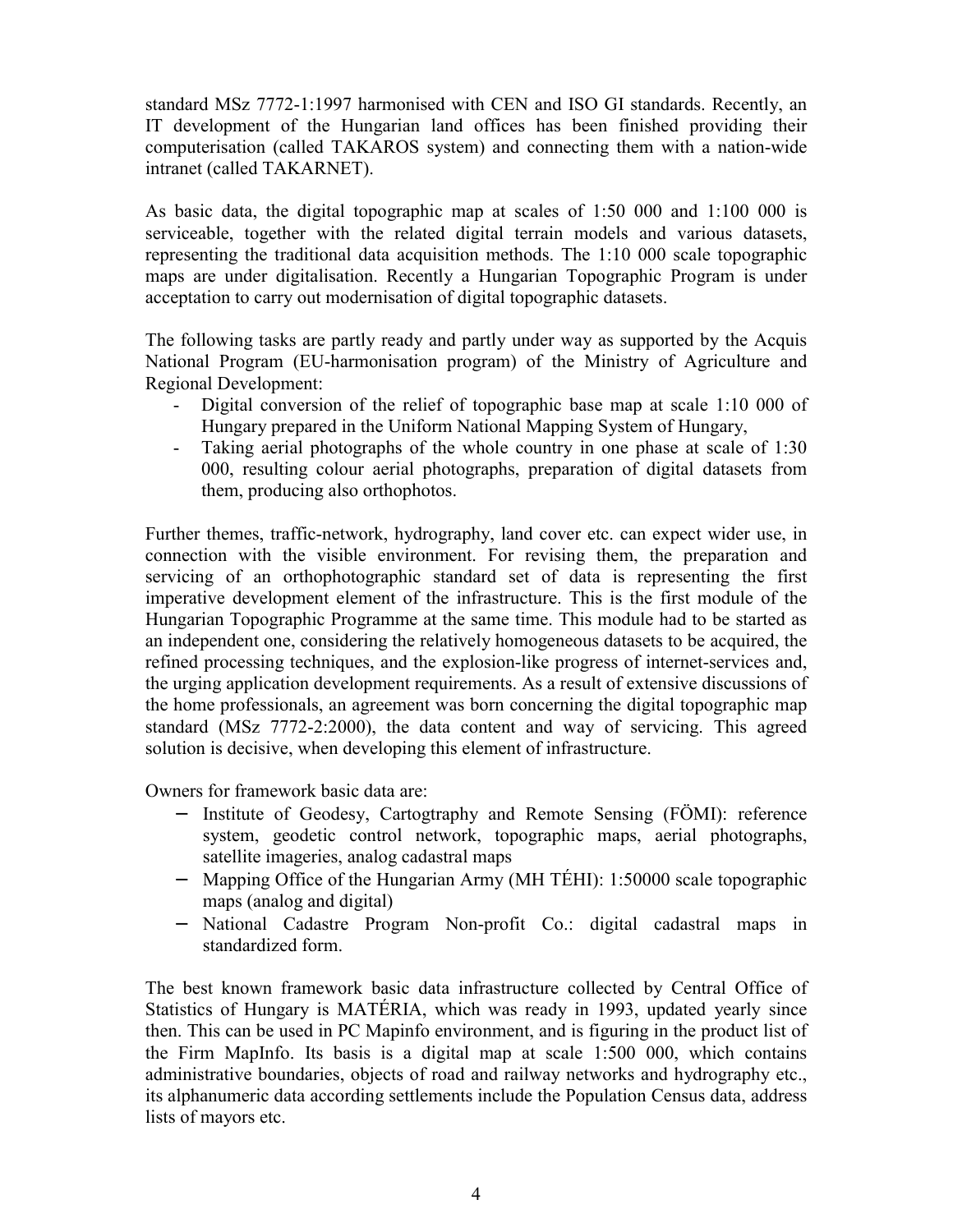standard MSz 7772-1:1997 harmonised with CEN and ISO GI standards. Recently, an IT development of the Hungarian land offices has been finished providing their computerisation (called TAKAROS system) and connecting them with a nation-wide intranet (called TAKARNET).

As basic data, the digital topographic map at scales of 1:50 000 and 1:100 000 is serviceable, together with the related digital terrain models and various datasets, representing the traditional data acquisition methods. The 1:10 000 scale topographic maps are under digitalisation. Recently a Hungarian Topographic Program is under acceptation to carry out modernisation of digital topographic datasets.

The following tasks are partly ready and partly under way as supported by the Acquis National Program (EU-harmonisation program) of the Ministry of Agriculture and Regional Development:

- Digital conversion of the relief of topographic base map at scale 1:10 000 of Hungary prepared in the Uniform National Mapping System of Hungary,
- Taking aerial photographs of the whole country in one phase at scale of 1:30 000, resulting colour aerial photographs, preparation of digital datasets from them, producing also orthophotos.

Further themes, traffic-network, hydrography, land cover etc. can expect wider use, in connection with the visible environment. For revising them, the preparation and servicing of an orthophotographic standard set of data is representing the first imperative development element of the infrastructure. This is the first module of the Hungarian Topographic Programme at the same time. This module had to be started as an independent one, considering the relatively homogeneous datasets to be acquired, the refined processing techniques, and the explosion-like progress of internet-services and, the urging application development requirements. As a result of extensive discussions of the home professionals, an agreement was born concerning the digital topographic map standard (MSz 7772-2:2000), the data content and way of servicing. This agreed solution is decisive, when developing this element of infrastructure.

Owners for framework basic data are:

- − Institute of Geodesy, Cartogtraphy and Remote Sensing (FÖMI): reference system, geodetic control network, topographic maps, aerial photographs, satellite imageries, analog cadastral maps
- − Mapping Office of the Hungarian Army (MH TÉHI): 1:50000 scale topographic maps (analog and digital)
- − National Cadastre Program Non-profit Co.: digital cadastral maps in standardized form.

The best known framework basic data infrastructure collected by Central Office of Statistics of Hungary is MATÉRIA, which was ready in 1993, updated yearly since then. This can be used in PC Mapinfo environment, and is figuring in the product list of the Firm MapInfo. Its basis is a digital map at scale 1:500 000, which contains administrative boundaries, objects of road and railway networks and hydrography etc., its alphanumeric data according settlements include the Population Census data, address lists of mayors etc.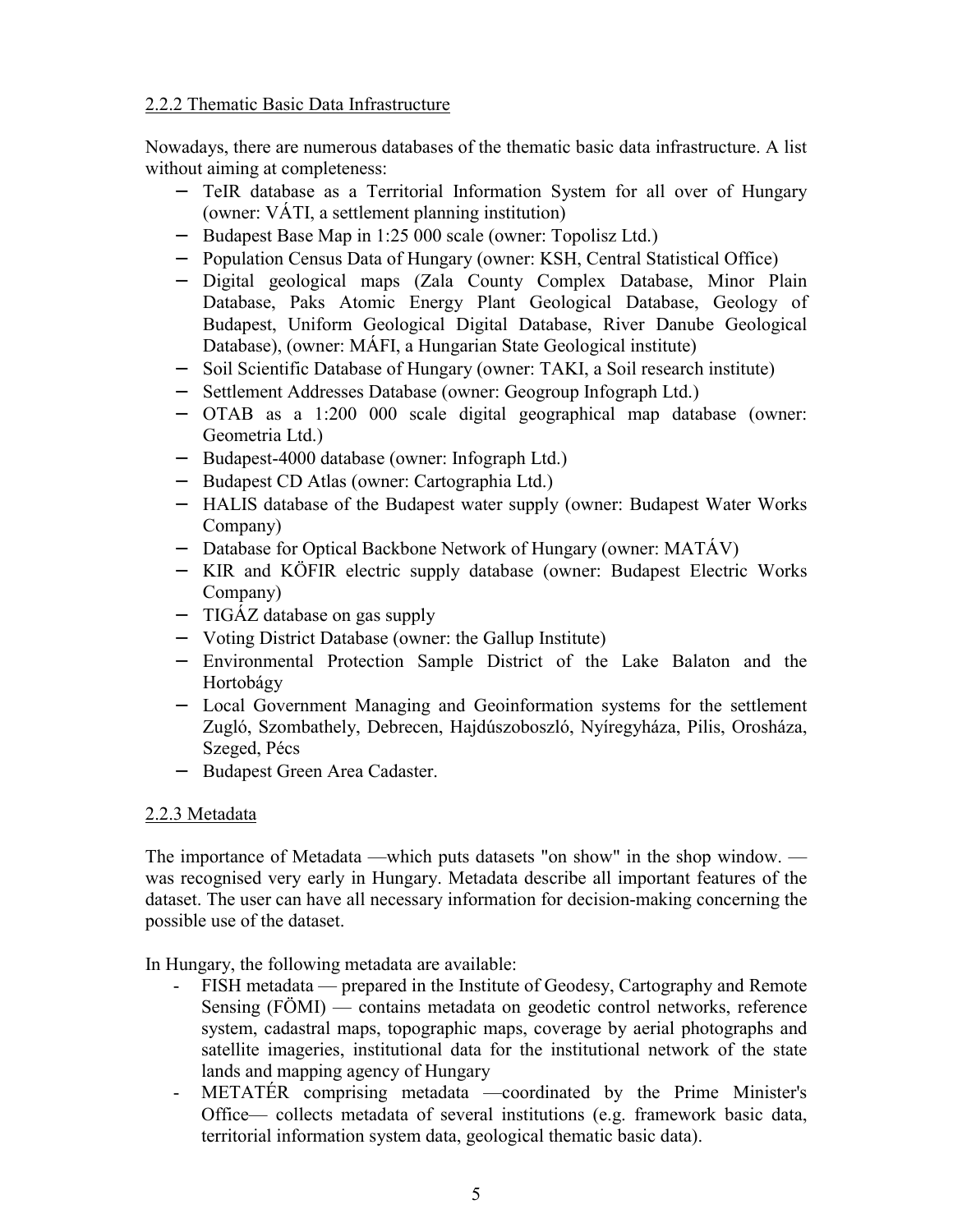### 2.2.2 Thematic Basic Data Infrastructure

Nowadays, there are numerous databases of the thematic basic data infrastructure. A list without aiming at completeness:

- − TeIR database as a Territorial Information System for all over of Hungary (owner: VÁTI, a settlement planning institution)
- − Budapest Base Map in 1:25 000 scale (owner: Topolisz Ltd.)
- − Population Census Data of Hungary (owner: KSH, Central Statistical Office)
- − Digital geological maps (Zala County Complex Database, Minor Plain Database, Paks Atomic Energy Plant Geological Database, Geology of Budapest, Uniform Geological Digital Database, River Danube Geological Database), (owner: MÁFI, a Hungarian State Geological institute)
- − Soil Scientific Database of Hungary (owner: TAKI, a Soil research institute)
- − Settlement Addresses Database (owner: Geogroup Infograph Ltd.)
- − OTAB as a 1:200 000 scale digital geographical map database (owner: Geometria Ltd.)
- − Budapest-4000 database (owner: Infograph Ltd.)
- − Budapest CD Atlas (owner: Cartographia Ltd.)
- − HALIS database of the Budapest water supply (owner: Budapest Water Works Company)
- − Database for Optical Backbone Network of Hungary (owner: MATÁV)
- − KIR and KÖFIR electric supply database (owner: Budapest Electric Works Company)
- − TIGÁZ database on gas supply
- − Voting District Database (owner: the Gallup Institute)
- − Environmental Protection Sample District of the Lake Balaton and the Hortobágy
- − Local Government Managing and Geoinformation systems for the settlement Zugló, Szombathely, Debrecen, Hajdúszoboszló, Nyíregyháza, Pilis, Orosháza, Szeged, Pécs
- − Budapest Green Area Cadaster.

# 2.2.3 Metadata

The importance of Metadata —which puts datasets "on show" in the shop window. was recognised very early in Hungary. Metadata describe all important features of the dataset. The user can have all necessary information for decision-making concerning the possible use of the dataset.

In Hungary, the following metadata are available:

- FISH metadata prepared in the Institute of Geodesy, Cartography and Remote Sensing (FÖMI) — contains metadata on geodetic control networks, reference system, cadastral maps, topographic maps, coverage by aerial photographs and satellite imageries, institutional data for the institutional network of the state lands and mapping agency of Hungary
- METATÉR comprising metadata —coordinated by the Prime Minister's Office— collects metadata of several institutions (e.g. framework basic data, territorial information system data, geological thematic basic data).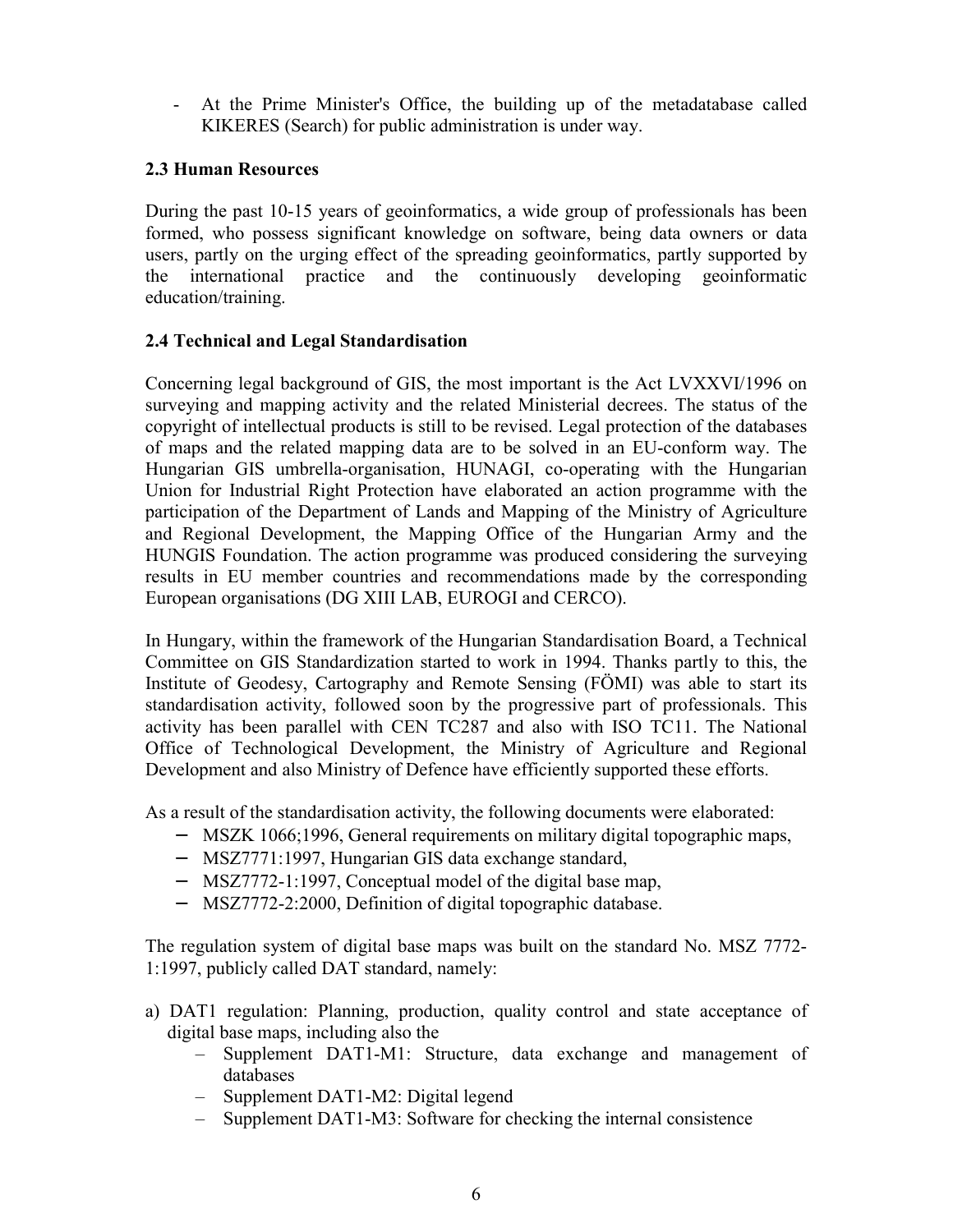- At the Prime Minister's Office, the building up of the metadatabase called KIKERES (Search) for public administration is under way.

## **2.3 Human Resources**

During the past 10-15 years of geoinformatics, a wide group of professionals has been formed, who possess significant knowledge on software, being data owners or data users, partly on the urging effect of the spreading geoinformatics, partly supported by the international practice and the continuously developing geoinformatic education/training.

### **2.4 Technical and Legal Standardisation**

Concerning legal background of GIS, the most important is the Act LVXXVI/1996 on surveying and mapping activity and the related Ministerial decrees. The status of the copyright of intellectual products is still to be revised. Legal protection of the databases of maps and the related mapping data are to be solved in an EU-conform way. The Hungarian GIS umbrella-organisation, HUNAGI, co-operating with the Hungarian Union for Industrial Right Protection have elaborated an action programme with the participation of the Department of Lands and Mapping of the Ministry of Agriculture and Regional Development, the Mapping Office of the Hungarian Army and the HUNGIS Foundation. The action programme was produced considering the surveying results in EU member countries and recommendations made by the corresponding European organisations (DG XIII LAB, EUROGI and CERCO).

In Hungary, within the framework of the Hungarian Standardisation Board, a Technical Committee on GIS Standardization started to work in 1994. Thanks partly to this, the Institute of Geodesy, Cartography and Remote Sensing (FÖMI) was able to start its standardisation activity, followed soon by the progressive part of professionals. This activity has been parallel with CEN TC287 and also with ISO TC11. The National Office of Technological Development, the Ministry of Agriculture and Regional Development and also Ministry of Defence have efficiently supported these efforts.

As a result of the standardisation activity, the following documents were elaborated:

- − MSZK 1066;1996, General requirements on military digital topographic maps,
- − MSZ7771:1997, Hungarian GIS data exchange standard,
- − MSZ7772-1:1997, Conceptual model of the digital base map,
- − MSZ7772-2:2000, Definition of digital topographic database.

The regulation system of digital base maps was built on the standard No. MSZ 7772- 1:1997, publicly called DAT standard, namely:

- a) DAT1 regulation: Planning, production, quality control and state acceptance of digital base maps, including also the
	- Supplement DAT1-M1: Structure, data exchange and management of databases
	- Supplement DAT1-M2: Digital legend
	- Supplement DAT1-M3: Software for checking the internal consistence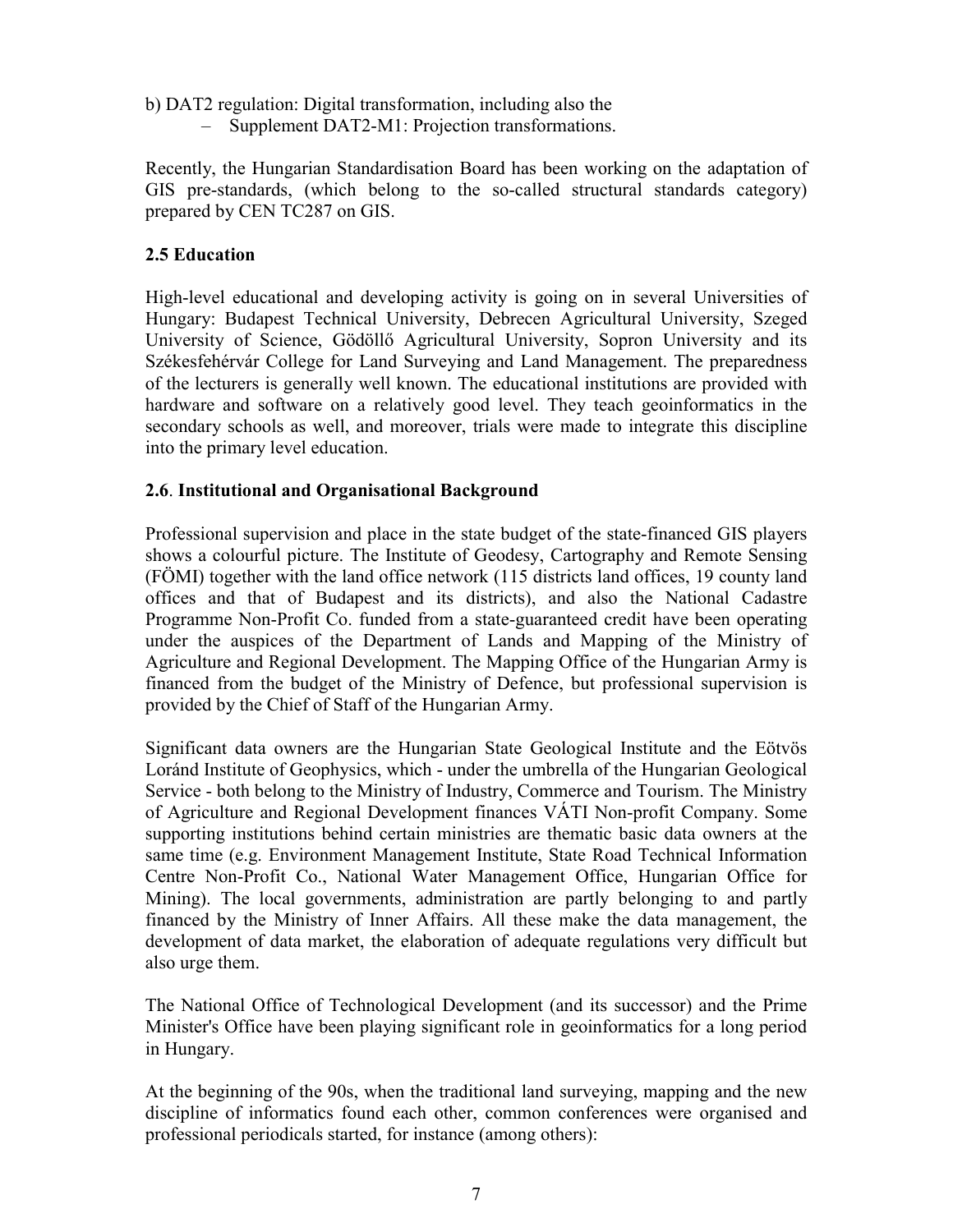- b) DAT2 regulation: Digital transformation, including also the
	- Supplement DAT2-M1: Projection transformations.

Recently, the Hungarian Standardisation Board has been working on the adaptation of GIS pre-standards, (which belong to the so-called structural standards category) prepared by CEN TC287 on GIS.

## **2.5 Education**

High-level educational and developing activity is going on in several Universities of Hungary: Budapest Technical University, Debrecen Agricultural University, Szeged University of Science, Gödöllő Agricultural University, Sopron University and its Székesfehérvár College for Land Surveying and Land Management. The preparedness of the lecturers is generally well known. The educational institutions are provided with hardware and software on a relatively good level. They teach geoinformatics in the secondary schools as well, and moreover, trials were made to integrate this discipline into the primary level education.

### **2.6**. **Institutional and Organisational Background**

Professional supervision and place in the state budget of the state-financed GIS players shows a colourful picture. The Institute of Geodesy, Cartography and Remote Sensing (FÖMI) together with the land office network (115 districts land offices, 19 county land offices and that of Budapest and its districts), and also the National Cadastre Programme Non-Profit Co. funded from a state-guaranteed credit have been operating under the auspices of the Department of Lands and Mapping of the Ministry of Agriculture and Regional Development. The Mapping Office of the Hungarian Army is financed from the budget of the Ministry of Defence, but professional supervision is provided by the Chief of Staff of the Hungarian Army.

Significant data owners are the Hungarian State Geological Institute and the Eötvös Loránd Institute of Geophysics, which - under the umbrella of the Hungarian Geological Service - both belong to the Ministry of Industry, Commerce and Tourism. The Ministry of Agriculture and Regional Development finances VÁTI Non-profit Company. Some supporting institutions behind certain ministries are thematic basic data owners at the same time (e.g. Environment Management Institute, State Road Technical Information Centre Non-Profit Co., National Water Management Office, Hungarian Office for Mining). The local governments, administration are partly belonging to and partly financed by the Ministry of Inner Affairs. All these make the data management, the development of data market, the elaboration of adequate regulations very difficult but also urge them.

The National Office of Technological Development (and its successor) and the Prime Minister's Office have been playing significant role in geoinformatics for a long period in Hungary.

At the beginning of the 90s, when the traditional land surveying, mapping and the new discipline of informatics found each other, common conferences were organised and professional periodicals started, for instance (among others):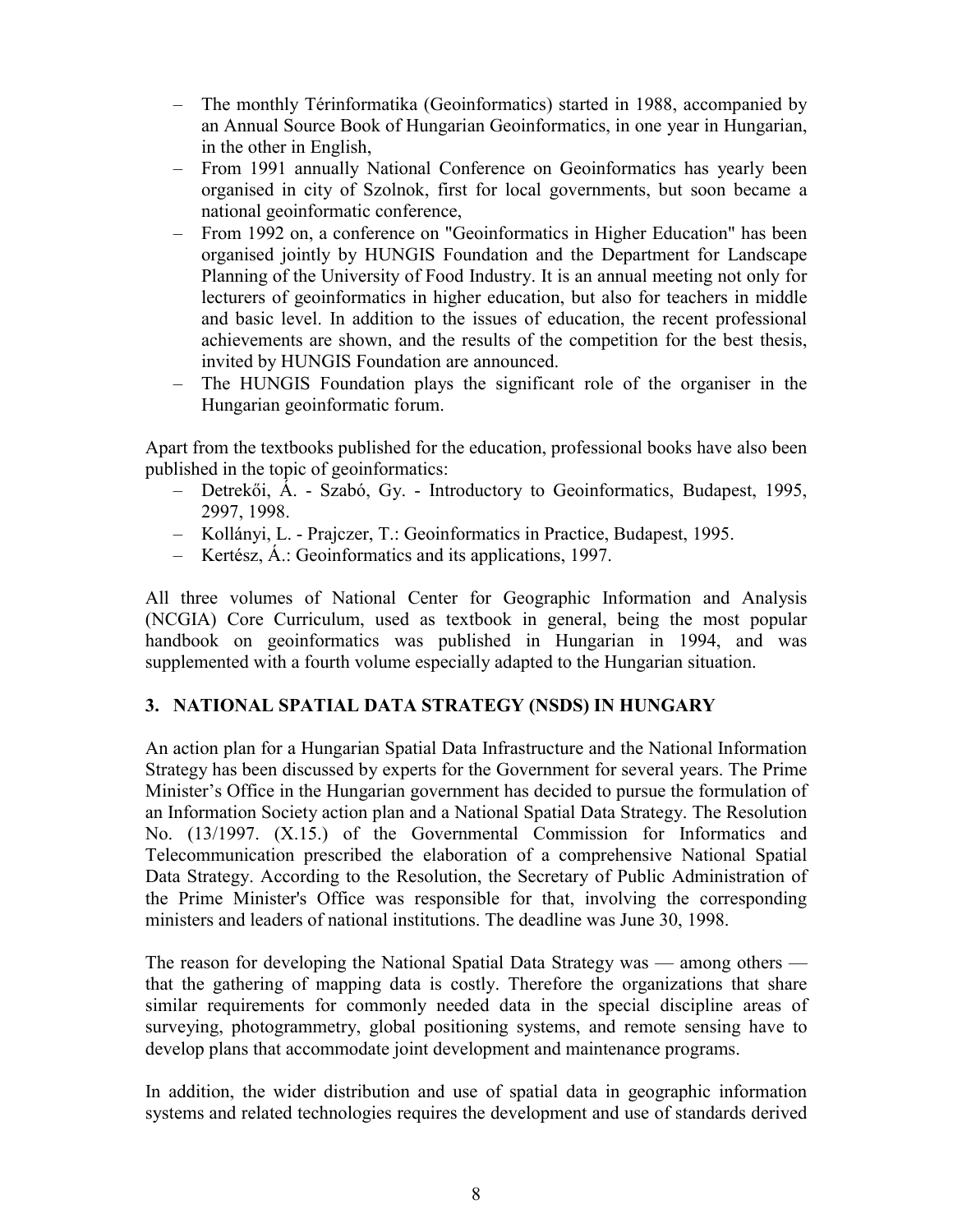- The monthly Térinformatika (Geoinformatics) started in 1988, accompanied by an Annual Source Book of Hungarian Geoinformatics, in one year in Hungarian, in the other in English,
- From 1991 annually National Conference on Geoinformatics has yearly been organised in city of Szolnok, first for local governments, but soon became a national geoinformatic conference,
- From 1992 on, a conference on "Geoinformatics in Higher Education" has been organised jointly by HUNGIS Foundation and the Department for Landscape Planning of the University of Food Industry. It is an annual meeting not only for lecturers of geoinformatics in higher education, but also for teachers in middle and basic level. In addition to the issues of education, the recent professional achievements are shown, and the results of the competition for the best thesis, invited by HUNGIS Foundation are announced.
- The HUNGIS Foundation plays the significant role of the organiser in the Hungarian geoinformatic forum.

Apart from the textbooks published for the education, professional books have also been published in the topic of geoinformatics:

- Detrekői, Á. Szabó, Gy. Introductory to Geoinformatics, Budapest, 1995, 2997, 1998.
- Kollányi, L. Prajczer, T.: Geoinformatics in Practice, Budapest, 1995.
- Kertész, Á.: Geoinformatics and its applications, 1997.

All three volumes of National Center for Geographic Information and Analysis (NCGIA) Core Curriculum, used as textbook in general, being the most popular handbook on geoinformatics was published in Hungarian in 1994, and was supplemented with a fourth volume especially adapted to the Hungarian situation.

# **3. NATIONAL SPATIAL DATA STRATEGY (NSDS) IN HUNGARY**

An action plan for a Hungarian Spatial Data Infrastructure and the National Information Strategy has been discussed by experts for the Government for several years. The Prime Minister's Office in the Hungarian government has decided to pursue the formulation of an Information Society action plan and a National Spatial Data Strategy. The Resolution No. (13/1997. (X.15.) of the Governmental Commission for Informatics and Telecommunication prescribed the elaboration of a comprehensive National Spatial Data Strategy. According to the Resolution, the Secretary of Public Administration of the Prime Minister's Office was responsible for that, involving the corresponding ministers and leaders of national institutions. The deadline was June 30, 1998.

The reason for developing the National Spatial Data Strategy was — among others that the gathering of mapping data is costly. Therefore the organizations that share similar requirements for commonly needed data in the special discipline areas of surveying, photogrammetry, global positioning systems, and remote sensing have to develop plans that accommodate joint development and maintenance programs.

In addition, the wider distribution and use of spatial data in geographic information systems and related technologies requires the development and use of standards derived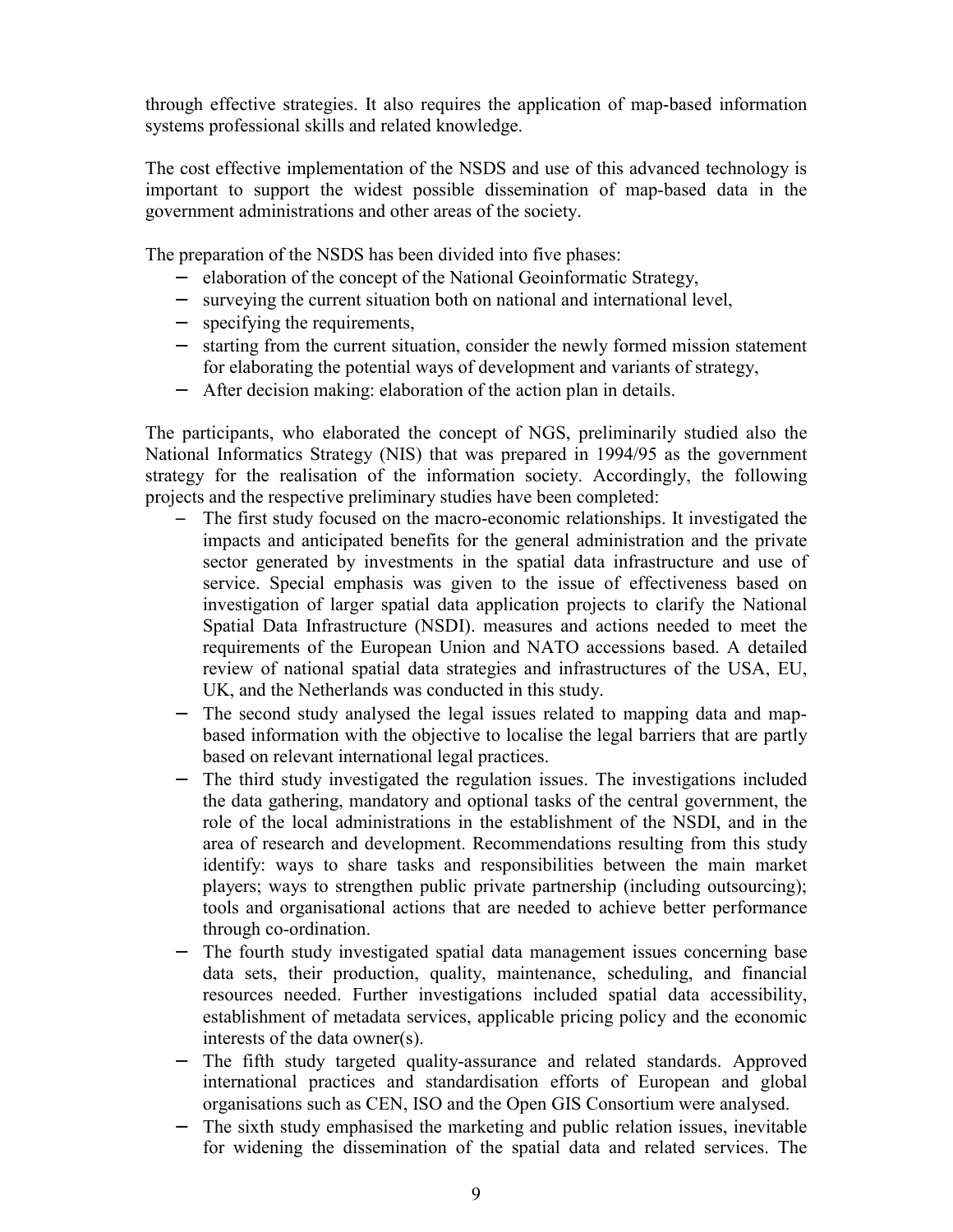through effective strategies. It also requires the application of map-based information systems professional skills and related knowledge.

The cost effective implementation of the NSDS and use of this advanced technology is important to support the widest possible dissemination of map-based data in the government administrations and other areas of the society.

The preparation of the NSDS has been divided into five phases:

- elaboration of the concept of the National Geoinformatic Strategy,
- − surveying the current situation both on national and international level,
- − specifying the requirements,
- − starting from the current situation, consider the newly formed mission statement for elaborating the potential ways of development and variants of strategy,
- − After decision making: elaboration of the action plan in details.

The participants, who elaborated the concept of NGS, preliminarily studied also the National Informatics Strategy (NIS) that was prepared in 1994/95 as the government strategy for the realisation of the information society. Accordingly, the following projects and the respective preliminary studies have been completed:

- The first study focused on the macro-economic relationships. It investigated the impacts and anticipated benefits for the general administration and the private sector generated by investments in the spatial data infrastructure and use of service. Special emphasis was given to the issue of effectiveness based on investigation of larger spatial data application projects to clarify the National Spatial Data Infrastructure (NSDI). measures and actions needed to meet the requirements of the European Union and NATO accessions based. A detailed review of national spatial data strategies and infrastructures of the USA, EU, UK, and the Netherlands was conducted in this study.
- − The second study analysed the legal issues related to mapping data and mapbased information with the objective to localise the legal barriers that are partly based on relevant international legal practices.
- − The third study investigated the regulation issues. The investigations included the data gathering, mandatory and optional tasks of the central government, the role of the local administrations in the establishment of the NSDI, and in the area of research and development. Recommendations resulting from this study identify: ways to share tasks and responsibilities between the main market players; ways to strengthen public private partnership (including outsourcing); tools and organisational actions that are needed to achieve better performance through co-ordination.
- The fourth study investigated spatial data management issues concerning base data sets, their production, quality, maintenance, scheduling, and financial resources needed. Further investigations included spatial data accessibility, establishment of metadata services, applicable pricing policy and the economic interests of the data owner(s).
- − The fifth study targeted quality-assurance and related standards. Approved international practices and standardisation efforts of European and global organisations such as CEN, ISO and the Open GIS Consortium were analysed.
- − The sixth study emphasised the marketing and public relation issues, inevitable for widening the dissemination of the spatial data and related services. The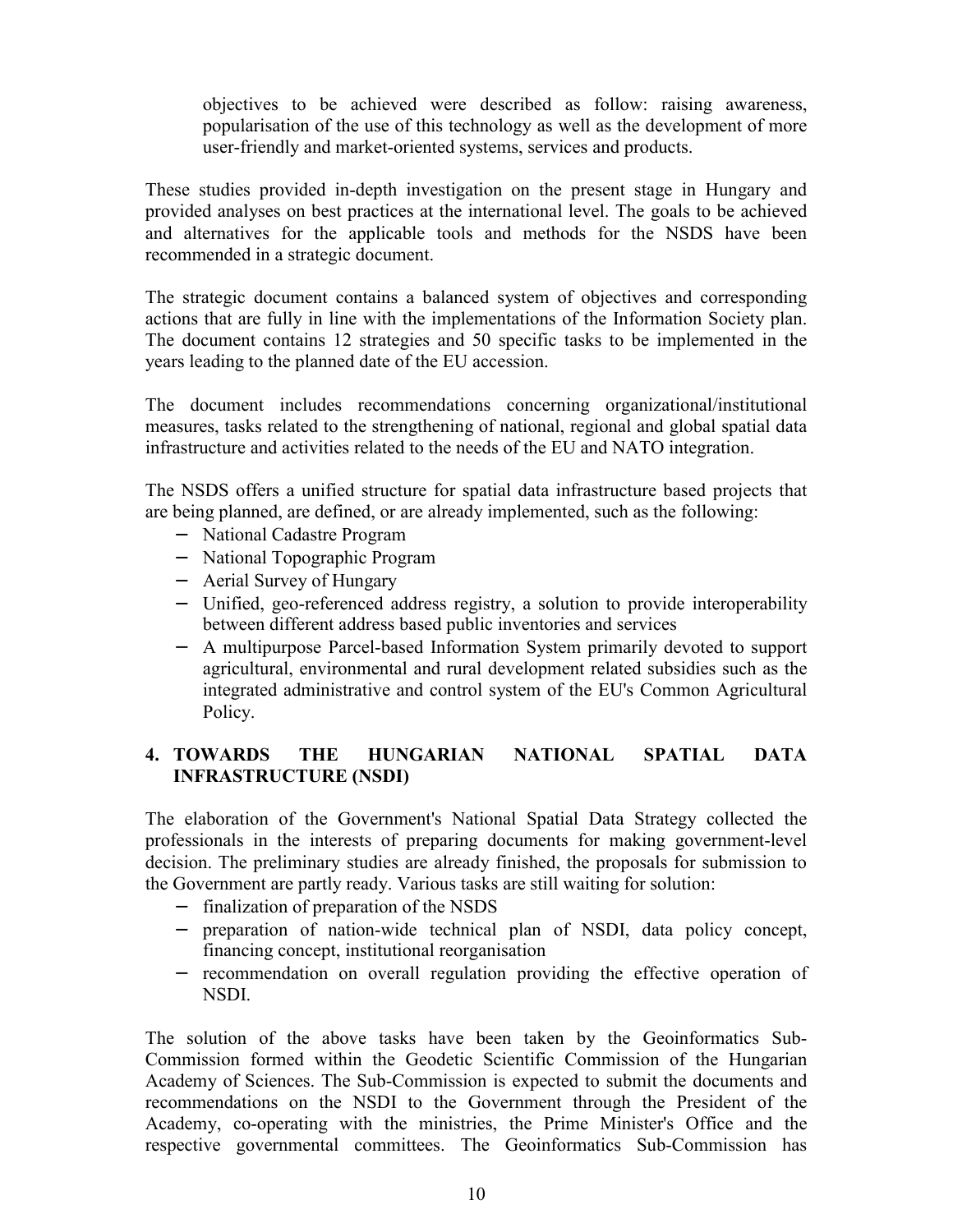objectives to be achieved were described as follow: raising awareness, popularisation of the use of this technology as well as the development of more user-friendly and market-oriented systems, services and products.

These studies provided in-depth investigation on the present stage in Hungary and provided analyses on best practices at the international level. The goals to be achieved and alternatives for the applicable tools and methods for the NSDS have been recommended in a strategic document.

The strategic document contains a balanced system of objectives and corresponding actions that are fully in line with the implementations of the Information Society plan. The document contains 12 strategies and 50 specific tasks to be implemented in the years leading to the planned date of the EU accession.

The document includes recommendations concerning organizational/institutional measures, tasks related to the strengthening of national, regional and global spatial data infrastructure and activities related to the needs of the EU and NATO integration.

The NSDS offers a unified structure for spatial data infrastructure based projects that are being planned, are defined, or are already implemented, such as the following:

- − National Cadastre Program
- − National Topographic Program
- − Aerial Survey of Hungary
- − Unified, geo-referenced address registry, a solution to provide interoperability between different address based public inventories and services
- − A multipurpose Parcel-based Information System primarily devoted to support agricultural, environmental and rural development related subsidies such as the integrated administrative and control system of the EU's Common Agricultural Policy.

# **4. TOWARDS THE HUNGARIAN NATIONAL SPATIAL DATA INFRASTRUCTURE (NSDI)**

The elaboration of the Government's National Spatial Data Strategy collected the professionals in the interests of preparing documents for making government-level decision. The preliminary studies are already finished, the proposals for submission to the Government are partly ready. Various tasks are still waiting for solution:

- − finalization of preparation of the NSDS
- − preparation of nation-wide technical plan of NSDI, data policy concept, financing concept, institutional reorganisation
- − recommendation on overall regulation providing the effective operation of NSDI.

The solution of the above tasks have been taken by the Geoinformatics Sub-Commission formed within the Geodetic Scientific Commission of the Hungarian Academy of Sciences. The Sub-Commission is expected to submit the documents and recommendations on the NSDI to the Government through the President of the Academy, co-operating with the ministries, the Prime Minister's Office and the respective governmental committees. The Geoinformatics Sub-Commission has